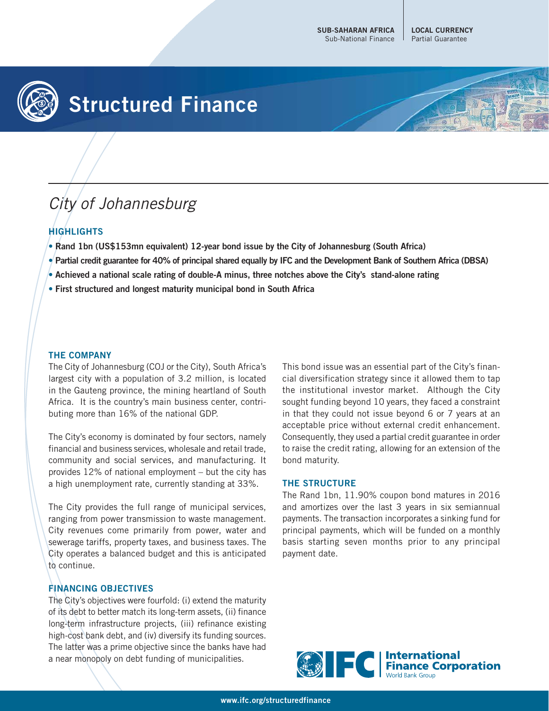**LOCAL CURRENCY** Partial Guarantee

# **Structured Finance**

# City of Johannesburg

## **HIGHLIGHTS**

- **Rand 1bn (US\$153mn equivalent) 12-year bond issue by the City of Johannesburg (South Africa)**
- **Partial credit guarantee for 40% of principal shared equally by IFC and the Development Bank of Southern Africa (DBSA)**
- **Achieved a national scale rating of double-A minus, three notches above the City's stand-alone rating**
- **First structured and longest maturity municipal bond in South Africa**

### **THE COMPANY**

The City of Johannesburg (COJ or the City), South Africa's largest city with a population of 3.2 million, is located in the Gauteng province, the mining heartland of South Africa. It is the country's main business center, contributing more than 16% of the national GDP.

The City's economy is dominated by four sectors, namely financial and business services, wholesale and retail trade, community and social services, and manufacturing. It provides 12% of national employment – but the city has a high unemployment rate, currently standing at 33%.

The City provides the full range of municipal services, ranging from power transmission to waste management. City revenues come primarily from power, water and sewerage tariffs, property taxes, and business taxes. The City operates a balanced budget and this is anticipated to continue.

### **FINANCING OBJECTIVES**

The City's objectives were fourfold: (i) extend the maturity of its debt to better match its long-term assets, (ii) finance long-term infrastructure projects, (iii) refinance existing high-cost bank debt, and (iv) diversify its funding sources. The latter was a prime objective since the banks have had a near monopoly on debt funding of municipalities.

This bond issue was an essential part of the City's financial diversification strategy since it allowed them to tap the institutional investor market. Although the City sought funding beyond 10 years, they faced a constraint in that they could not issue beyond 6 or 7 years at an acceptable price without external credit enhancement. Consequently, they used a partial credit guarantee in order to raise the credit rating, allowing for an extension of the bond maturity.

#### **THE STRUCTURE**

The Rand 1bn, 11.90% coupon bond matures in 2016 and amortizes over the last 3 years in six semiannual payments. The transaction incorporates a sinking fund for principal payments, which will be funded on a monthly basis starting seven months prior to any principal payment date.